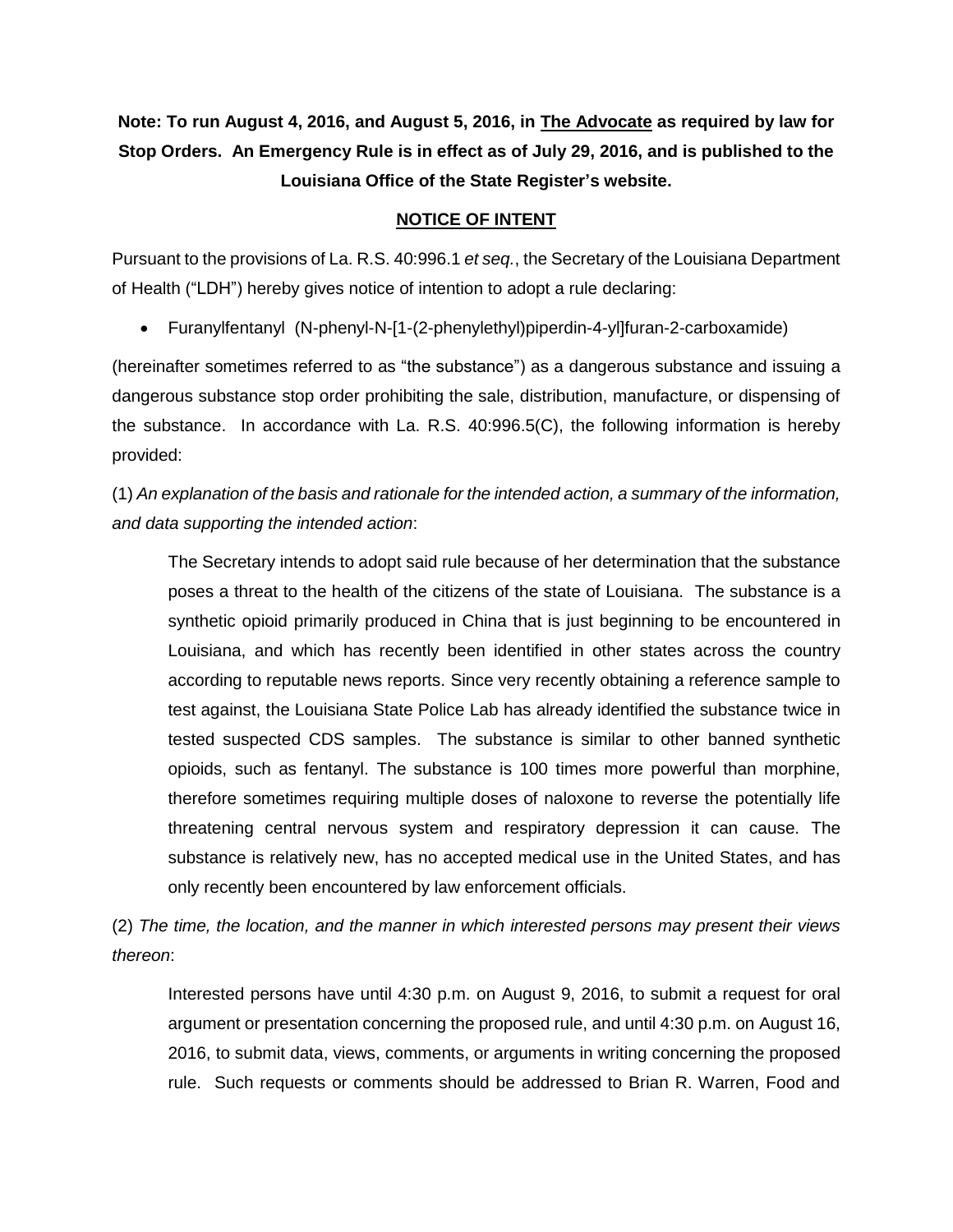## **Note: To run August 4, 2016, and August 5, 2016, in The Advocate as required by law for Stop Orders. An Emergency Rule is in effect as of July 29, 2016, and is published to the Louisiana Office of the State Register's website.**

## **NOTICE OF INTENT**

Pursuant to the provisions of La. R.S. 40:996.1 *et seq.*, the Secretary of the Louisiana Department of Health ("LDH") hereby gives notice of intention to adopt a rule declaring:

Furanylfentanyl (N-phenyl-N-[1-(2-phenylethyl)piperdin-4-yl]furan-2-carboxamide)

(hereinafter sometimes referred to as "the substance") as a dangerous substance and issuing a dangerous substance stop order prohibiting the sale, distribution, manufacture, or dispensing of the substance. In accordance with La. R.S. 40:996.5(C), the following information is hereby provided:

(1) *An explanation of the basis and rationale for the intended action, a summary of the information, and data supporting the intended action*:

The Secretary intends to adopt said rule because of her determination that the substance poses a threat to the health of the citizens of the state of Louisiana. The substance is a synthetic opioid primarily produced in China that is just beginning to be encountered in Louisiana, and which has recently been identified in other states across the country according to reputable news reports. Since very recently obtaining a reference sample to test against, the Louisiana State Police Lab has already identified the substance twice in tested suspected CDS samples. The substance is similar to other banned synthetic opioids, such as fentanyl. The substance is 100 times more powerful than morphine, therefore sometimes requiring multiple doses of naloxone to reverse the potentially life threatening central nervous system and respiratory depression it can cause. The substance is relatively new, has no accepted medical use in the United States, and has only recently been encountered by law enforcement officials.

(2) *The time, the location, and the manner in which interested persons may present their views thereon*:

Interested persons have until 4:30 p.m. on August 9, 2016, to submit a request for oral argument or presentation concerning the proposed rule, and until 4:30 p.m. on August 16, 2016, to submit data, views, comments, or arguments in writing concerning the proposed rule. Such requests or comments should be addressed to Brian R. Warren, Food and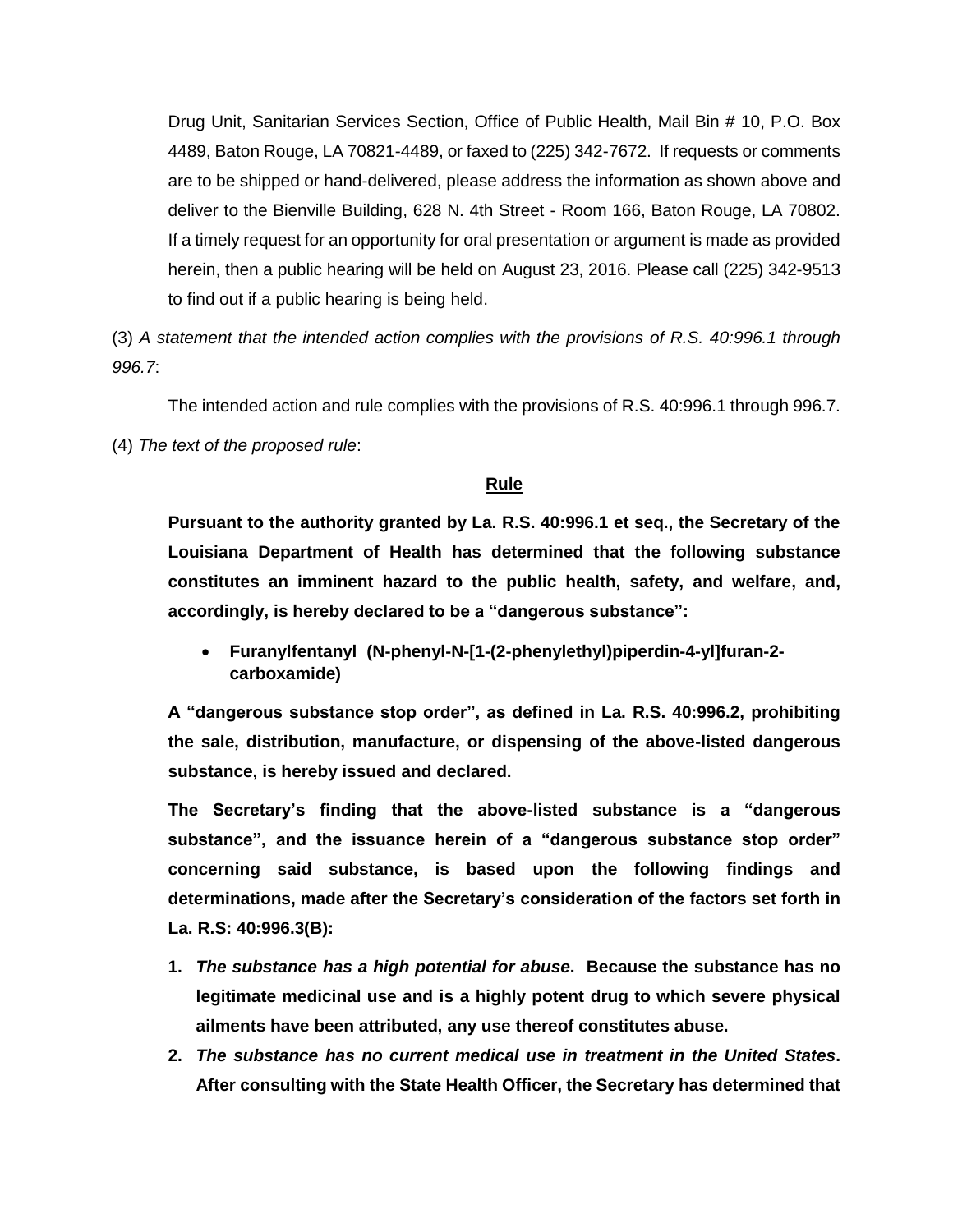Drug Unit, Sanitarian Services Section, Office of Public Health, Mail Bin # 10, P.O. Box 4489, Baton Rouge, LA 70821-4489, or faxed to (225) 342-7672. If requests or comments are to be shipped or hand-delivered, please address the information as shown above and deliver to the Bienville Building, 628 N. 4th Street - Room 166, Baton Rouge, LA 70802. If a timely request for an opportunity for oral presentation or argument is made as provided herein, then a public hearing will be held on August 23, 2016. Please call (225) 342-9513 to find out if a public hearing is being held.

(3) *A statement that the intended action complies with the provisions of R.S. 40:996.1 through 996.7*:

The intended action and rule complies with the provisions of R.S. 40:996.1 through 996.7.

(4) *The text of the proposed rule*:

## **Rule**

**Pursuant to the authority granted by La. R.S. 40:996.1 et seq., the Secretary of the Louisiana Department of Health has determined that the following substance constitutes an imminent hazard to the public health, safety, and welfare, and, accordingly, is hereby declared to be a "dangerous substance":**

 **Furanylfentanyl (N-phenyl-N-[1-(2-phenylethyl)piperdin-4-yl]furan-2 carboxamide)**

**A "dangerous substance stop order", as defined in La. R.S. 40:996.2, prohibiting the sale, distribution, manufacture, or dispensing of the above-listed dangerous substance, is hereby issued and declared.**

**The Secretary's finding that the above-listed substance is a "dangerous substance", and the issuance herein of a "dangerous substance stop order" concerning said substance, is based upon the following findings and determinations, made after the Secretary's consideration of the factors set forth in La. R.S: 40:996.3(B):**

- **1.** *The substance has a high potential for abuse***. Because the substance has no legitimate medicinal use and is a highly potent drug to which severe physical ailments have been attributed, any use thereof constitutes abuse.**
- **2.** *The substance has no current medical use in treatment in the United States***. After consulting with the State Health Officer, the Secretary has determined that**